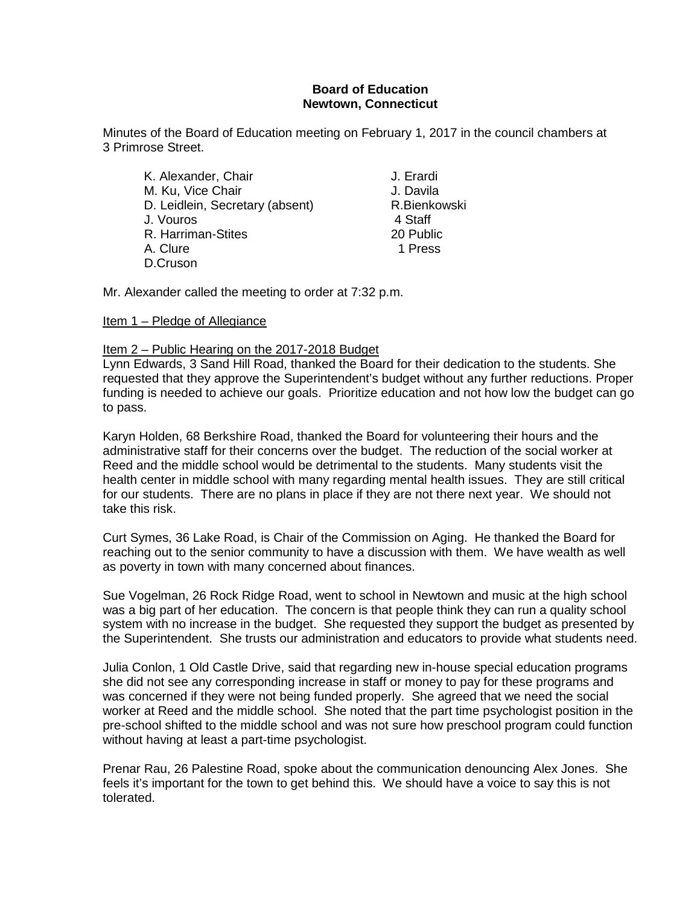## **Board of Education Newtown, Connecticut**

Minutes of the Board of Education meeting on February 1, 2017 in the council chambers at 3 Primrose Street.

| K. Alexander, Chair             | J. Erard |
|---------------------------------|----------|
| M. Ku, Vice Chair               | J. Davil |
| D. Leidlein, Secretary (absent) | R.Bienl  |
| J. Vouros                       | 4 Staff  |
| R. Harriman-Stites              | 20 Pub   |
| A. Clure                        | 1 Pres   |
| D.Cruson                        |          |

J. Erardi J. Davila R. Bienkowski<br>4 Staff 20 Public 1 Press

Mr. Alexander called the meeting to order at 7:32 p.m.

### Item 1 – Pledge of Allegiance

### Item 2 – Public Hearing on the 2017-2018 Budget

Lynn Edwards, 3 Sand Hill Road, thanked the Board for their dedication to the students. She requested that they approve the Superintendent's budget without any further reductions. Proper funding is needed to achieve our goals. Prioritize education and not how low the budget can go to pass.

Karyn Holden, 68 Berkshire Road, thanked the Board for volunteering their hours and the administrative staff for their concerns over the budget. The reduction of the social worker at Reed and the middle school would be detrimental to the students. Many students visit the health center in middle school with many regarding mental health issues. They are still critical for our students. There are no plans in place if they are not there next year. We should not take this risk.

Curt Symes, 36 Lake Road, is Chair of the Commission on Aging. He thanked the Board for reaching out to the senior community to have a discussion with them. We have wealth as well as poverty in town with many concerned about finances.

Sue Vogelman, 26 Rock Ridge Road, went to school in Newtown and music at the high school was a big part of her education. The concern is that people think they can run a quality school system with no increase in the budget. She requested they support the budget as presented by the Superintendent. She trusts our administration and educators to provide what students need.

Julia Conlon, 1 Old Castle Drive, said that regarding new in-house special education programs she did not see any corresponding increase in staff or money to pay for these programs and was concerned if they were not being funded properly. She agreed that we need the social worker at Reed and the middle school. She noted that the part time psychologist position in the pre-school shifted to the middle school and was not sure how preschool program could function without having at least a part-time psychologist.

Prenar Rau, 26 Palestine Road, spoke about the communication denouncing Alex Jones. She feels it's important for the town to get behind this. We should have a voice to say this is not tolerated.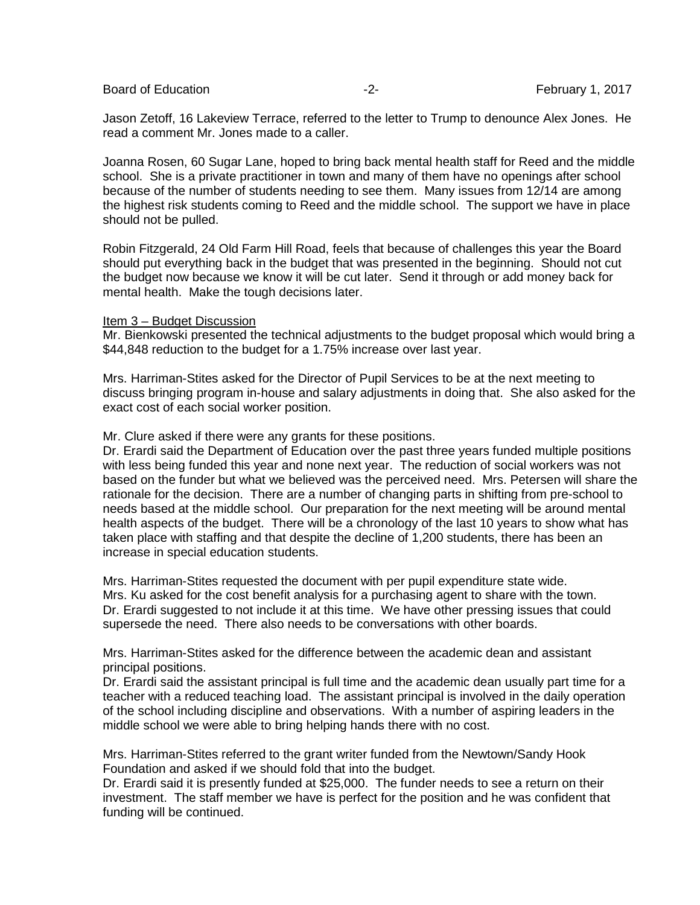Board of Education **Francisco Community** 1, 2017 **February 1**, 2017

Jason Zetoff, 16 Lakeview Terrace, referred to the letter to Trump to denounce Alex Jones. He read a comment Mr. Jones made to a caller.

Joanna Rosen, 60 Sugar Lane, hoped to bring back mental health staff for Reed and the middle school. She is a private practitioner in town and many of them have no openings after school because of the number of students needing to see them. Many issues from 12/14 are among the highest risk students coming to Reed and the middle school. The support we have in place should not be pulled.

Robin Fitzgerald, 24 Old Farm Hill Road, feels that because of challenges this year the Board should put everything back in the budget that was presented in the beginning. Should not cut the budget now because we know it will be cut later. Send it through or add money back for mental health. Make the tough decisions later.

#### Item 3 – Budget Discussion

Mr. Bienkowski presented the technical adjustments to the budget proposal which would bring a \$44,848 reduction to the budget for a 1.75% increase over last year.

Mrs. Harriman-Stites asked for the Director of Pupil Services to be at the next meeting to discuss bringing program in-house and salary adjustments in doing that. She also asked for the exact cost of each social worker position.

Mr. Clure asked if there were any grants for these positions.

Dr. Erardi said the Department of Education over the past three years funded multiple positions with less being funded this year and none next year. The reduction of social workers was not based on the funder but what we believed was the perceived need. Mrs. Petersen will share the rationale for the decision. There are a number of changing parts in shifting from pre-school to needs based at the middle school. Our preparation for the next meeting will be around mental health aspects of the budget. There will be a chronology of the last 10 years to show what has taken place with staffing and that despite the decline of 1,200 students, there has been an increase in special education students.

Mrs. Harriman-Stites requested the document with per pupil expenditure state wide. Mrs. Ku asked for the cost benefit analysis for a purchasing agent to share with the town. Dr. Erardi suggested to not include it at this time. We have other pressing issues that could supersede the need. There also needs to be conversations with other boards.

Mrs. Harriman-Stites asked for the difference between the academic dean and assistant principal positions.

Dr. Erardi said the assistant principal is full time and the academic dean usually part time for a teacher with a reduced teaching load. The assistant principal is involved in the daily operation of the school including discipline and observations. With a number of aspiring leaders in the middle school we were able to bring helping hands there with no cost.

Mrs. Harriman-Stites referred to the grant writer funded from the Newtown/Sandy Hook Foundation and asked if we should fold that into the budget.

Dr. Erardi said it is presently funded at \$25,000. The funder needs to see a return on their investment. The staff member we have is perfect for the position and he was confident that funding will be continued.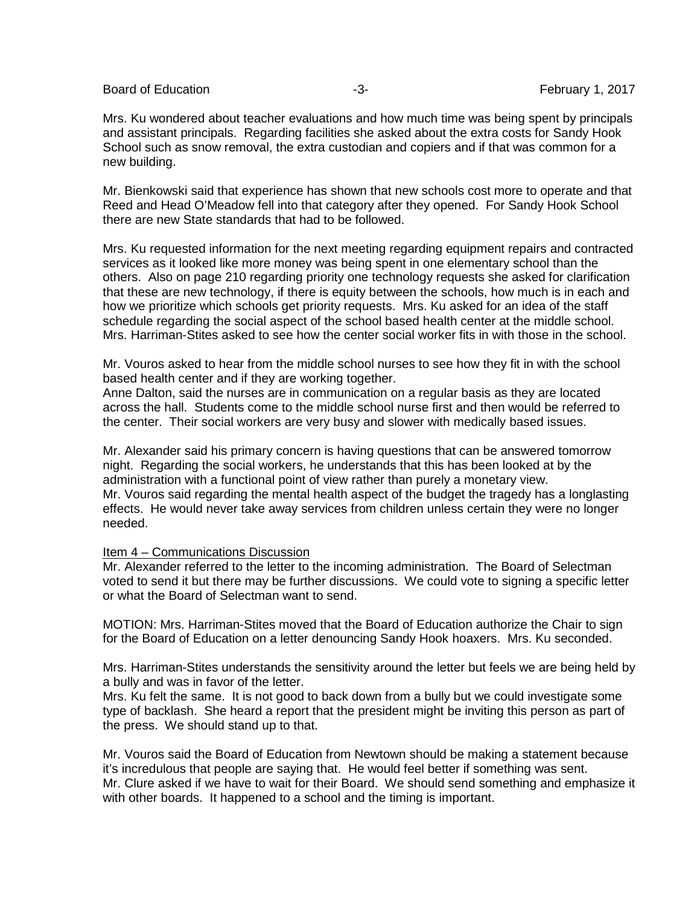Board of Education **Francisco Community** 1, 2017 **February 1**, 2017

Mrs. Ku wondered about teacher evaluations and how much time was being spent by principals and assistant principals. Regarding facilities she asked about the extra costs for Sandy Hook School such as snow removal, the extra custodian and copiers and if that was common for a new building.

Mr. Bienkowski said that experience has shown that new schools cost more to operate and that Reed and Head O'Meadow fell into that category after they opened. For Sandy Hook School there are new State standards that had to be followed.

Mrs. Ku requested information for the next meeting regarding equipment repairs and contracted services as it looked like more money was being spent in one elementary school than the others. Also on page 210 regarding priority one technology requests she asked for clarification that these are new technology, if there is equity between the schools, how much is in each and how we prioritize which schools get priority requests. Mrs. Ku asked for an idea of the staff schedule regarding the social aspect of the school based health center at the middle school. Mrs. Harriman-Stites asked to see how the center social worker fits in with those in the school.

Mr. Vouros asked to hear from the middle school nurses to see how they fit in with the school based health center and if they are working together.

Anne Dalton, said the nurses are in communication on a regular basis as they are located across the hall. Students come to the middle school nurse first and then would be referred to the center. Their social workers are very busy and slower with medically based issues.

Mr. Alexander said his primary concern is having questions that can be answered tomorrow night. Regarding the social workers, he understands that this has been looked at by the administration with a functional point of view rather than purely a monetary view. Mr. Vouros said regarding the mental health aspect of the budget the tragedy has a longlasting effects. He would never take away services from children unless certain they were no longer needed.

#### Item 4 – Communications Discussion

Mr. Alexander referred to the letter to the incoming administration. The Board of Selectman voted to send it but there may be further discussions. We could vote to signing a specific letter or what the Board of Selectman want to send.

MOTION: Mrs. Harriman-Stites moved that the Board of Education authorize the Chair to sign for the Board of Education on a letter denouncing Sandy Hook hoaxers. Mrs. Ku seconded.

Mrs. Harriman-Stites understands the sensitivity around the letter but feels we are being held by a bully and was in favor of the letter.

Mrs. Ku felt the same. It is not good to back down from a bully but we could investigate some type of backlash. She heard a report that the president might be inviting this person as part of the press. We should stand up to that.

Mr. Vouros said the Board of Education from Newtown should be making a statement because it's incredulous that people are saying that. He would feel better if something was sent. Mr. Clure asked if we have to wait for their Board. We should send something and emphasize it with other boards. It happened to a school and the timing is important.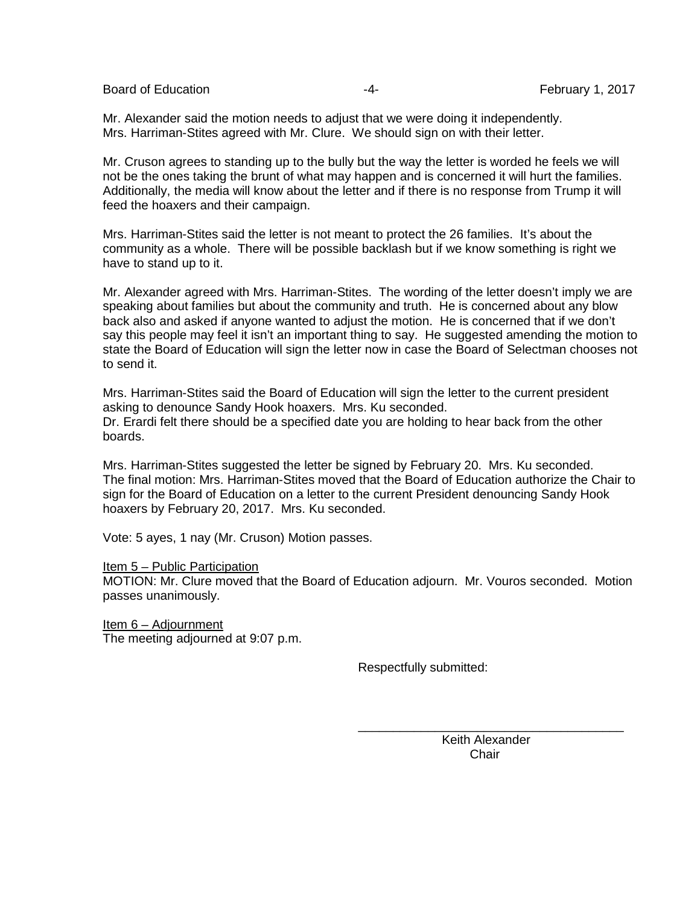Board of Education **Francisco Community -4-** February 1, 2017

Mr. Alexander said the motion needs to adjust that we were doing it independently. Mrs. Harriman-Stites agreed with Mr. Clure. We should sign on with their letter.

Mr. Cruson agrees to standing up to the bully but the way the letter is worded he feels we will not be the ones taking the brunt of what may happen and is concerned it will hurt the families. Additionally, the media will know about the letter and if there is no response from Trump it will feed the hoaxers and their campaign.

Mrs. Harriman-Stites said the letter is not meant to protect the 26 families. It's about the community as a whole. There will be possible backlash but if we know something is right we have to stand up to it.

Mr. Alexander agreed with Mrs. Harriman-Stites. The wording of the letter doesn't imply we are speaking about families but about the community and truth. He is concerned about any blow back also and asked if anyone wanted to adjust the motion. He is concerned that if we don't say this people may feel it isn't an important thing to say. He suggested amending the motion to state the Board of Education will sign the letter now in case the Board of Selectman chooses not to send it.

Mrs. Harriman-Stites said the Board of Education will sign the letter to the current president asking to denounce Sandy Hook hoaxers. Mrs. Ku seconded. Dr. Erardi felt there should be a specified date you are holding to hear back from the other boards.

Mrs. Harriman-Stites suggested the letter be signed by February 20. Mrs. Ku seconded. The final motion: Mrs. Harriman-Stites moved that the Board of Education authorize the Chair to sign for the Board of Education on a letter to the current President denouncing Sandy Hook hoaxers by February 20, 2017. Mrs. Ku seconded.

Vote: 5 ayes, 1 nay (Mr. Cruson) Motion passes.

Item 5 – Public Participation

MOTION: Mr. Clure moved that the Board of Education adjourn. Mr. Vouros seconded. Motion passes unanimously.

 $\overline{\phantom{a}}$  , and the contract of the contract of the contract of the contract of the contract of the contract of the contract of the contract of the contract of the contract of the contract of the contract of the contrac

Item 6 – Adjournment The meeting adjourned at 9:07 p.m.

Respectfully submitted:

Keith Alexander<br>Chair in the contract of the contract of the contract of the contract of the contract of the contract of the contract of the contract of the contract of the contract of the contract of the contract of the contract of the contrac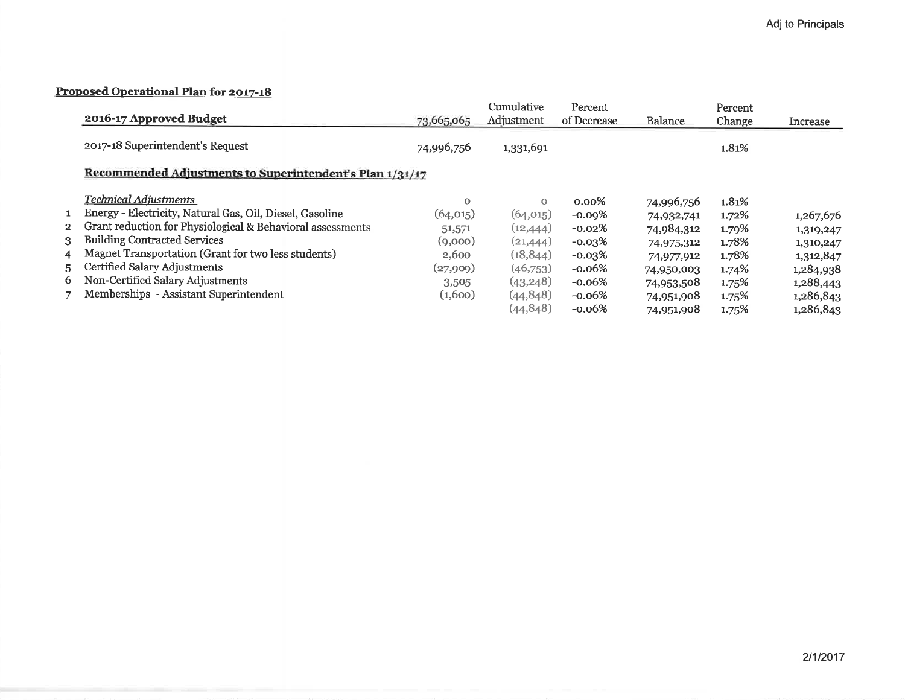## Proposed Operational Plan for 2017-18

|                |                                                            |            | Cumulative | Percent     |                | Percent  |           |
|----------------|------------------------------------------------------------|------------|------------|-------------|----------------|----------|-----------|
|                | 2016-17 Approved Budget                                    | 73,665,065 | Adjustment | of Decrease | <b>Balance</b> | Change   | Increase  |
|                | 2017-18 Superintendent's Request                           | 74,996,756 | 1,331,691  |             |                | 1.81%    |           |
|                | Recommended Adjustments to Superintendent's Plan 1/31/17   |            |            |             |                |          |           |
|                | Technical Adiustments                                      | $\Omega$   | $\circ$    | $0.00\%$    | 74,996,756     | 1.81%    |           |
| $\mathbf{1}$   | Energy - Electricity, Natural Gas, Oil, Diesel, Gasoline   | (64, 015)  | (64, 015)  | $-0.09%$    | 74,932,741     | 1.72%    | 1,267,676 |
| $2^{\circ}$    | Grant reduction for Physiological & Behavioral assessments | 51,571     | (12, 444)  | $-0.02\%$   | 74,984,312     | 1.79%    | 1,319,247 |
| 3 <sup>1</sup> | <b>Building Contracted Services</b>                        | (9,000)    | (21, 444)  | $-0.03\%$   | 74,975,312     | 1.78%    | 1,310,247 |
| $\overline{4}$ | Magnet Transportation (Grant for two less students)        | 2,600      | (18, 844)  | $-0.03\%$   | 74,977,912     | 1.78%    | 1,312,847 |
| 5.             | Certified Salary Adjustments                               | (27,909)   | (46,753)   | $-0.06%$    | 74,950,003     | $1.74\%$ | 1,284,938 |
| 6.             | Non-Certified Salary Adjustments                           | 3,505      | (43, 248)  | $-0.06%$    | 74,953,508     | 1.75%    | 1,288,443 |
| 7              | Memberships - Assistant Superintendent                     | (1,600)    | (44, 848)  | $-0.06%$    | 74,951,908     | 1.75%    | 1,286,843 |
|                |                                                            |            | (44, 848)  | $-0.06%$    | 74,951,908     | 1.75%    | 1,286,843 |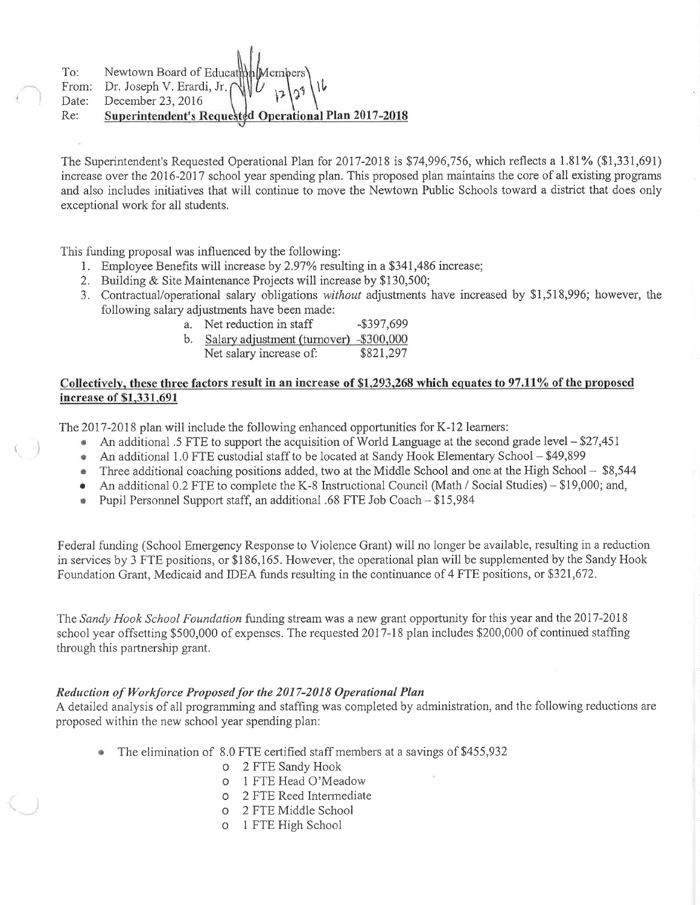Newtown Board of Educat To:

Dr. Joseph V. Erardi, Jr. From:

Date: December 23, 2016

Re: Superintendent's Requested Operational Plan 2017-2018

The Superintendent's Requested Operational Plan for 2017-2018 is \$74,996,756, which reflects a 1.81% (\$1,331,691) increase over the 2016-2017 school year spending plan. This proposed plan maintains the core of all existing programs and also includes initiatives that will continue to move the Newtown Public Schools toward a district that does only exceptional work for all students.

This funding proposal was influenced by the following:

- 1. Employee Benefits will increase by 2.97% resulting in a \$341,486 increase;
- 2. Building & Site Maintenance Projects will increase by \$130,500;
- 3. Contractual/operational salary obligations without adjustments have increased by \$1,518,996; however, the following salary adjustments have been made:
	- a. Net reduction in staff  $-$ \$397,699
	- b. Salary adjustment (turnover) -\$300,000
		- \$821,297 Net salary increase of:

## Collectively, these three factors result in an increase of \$1,293,268 which equates to 97.11% of the proposed increase of \$1,331,691

The 2017-2018 plan will include the following enhanced opportunities for K-12 learners:

- An additional .5 FTE to support the acquisition of World Language at the second grade level \$27,451
- An additional 1.0 FTE custodial staff to be located at Sandy Hook Elementary School \$49,899
- Three additional coaching positions added, two at the Middle School and one at the High School \$8,544  $\bullet$
- An additional 0.2 FTE to complete the K-8 Instructional Council (Math / Social Studies) \$19,000; and,  $\bullet$
- Pupil Personnel Support staff, an additional .68 FTE Job Coach \$15,984  $\ddot{\text{o}}$

Federal funding (School Emergency Response to Violence Grant) will no longer be available, resulting in a reduction in services by 3 FTE positions, or \$186,165. However, the operational plan will be supplemented by the Sandy Hook Foundation Grant, Medicaid and IDEA funds resulting in the continuance of 4 FTE positions, or \$321,672.

The Sandy Hook School Foundation funding stream was a new grant opportunity for this year and the 2017-2018 school year offsetting \$500,000 of expenses. The requested 2017-18 plan includes \$200,000 of continued staffing through this partnership grant.

## Reduction of Workforce Proposed for the 2017-2018 Operational Plan

A detailed analysis of all programming and staffing was completed by administration, and the following reductions are proposed within the new school year spending plan:

- The elimination of 8.0 FTE certified staff members at a savings of \$455,932
	- 0 2 FTE Sandy Hook
	- 1 FTE Head O'Meadow  $\Omega$
	- o 2 FTE Reed Intermediate
	- 2 FTE Middle School  $\circ$
	- 1 FTE High School  $\circ$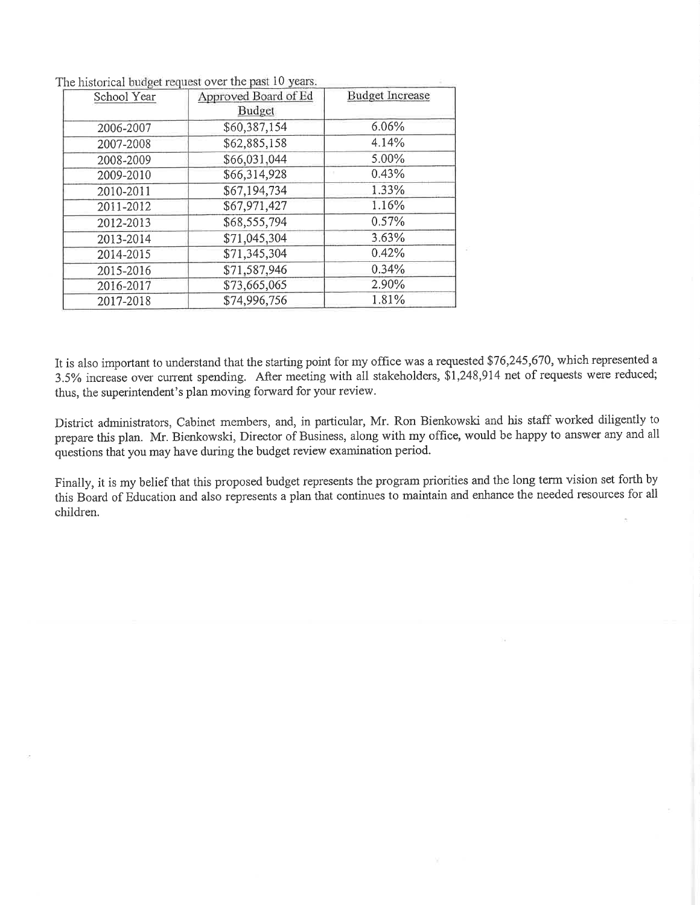| School Year | Approved Board of Ed<br>Budget | <b>Budget Increase</b> |
|-------------|--------------------------------|------------------------|
| 2006-2007   | \$60,387,154                   | 6.06%                  |
| 2007-2008   | \$62,885,158                   | 4.14%                  |
| 2008-2009   | \$66,031,044                   | 5.00%                  |
| 2009-2010   | \$66,314,928                   | 0.43%                  |
| 2010-2011   | \$67,194,734                   | 1.33%                  |
| 2011-2012   | \$67,971,427                   | 1.16%                  |
| 2012-2013   | \$68,555,794                   | 0.57%                  |
| 2013-2014   | \$71,045,304                   | 3.63%                  |
| 2014-2015   | \$71,345,304                   | 0.42%                  |
| 2015-2016   | \$71,587,946                   | 0.34%                  |
| 2016-2017   | \$73,665,065                   | 2.90%                  |
| 2017-2018   | \$74,996,756                   | 1.81%                  |

The historical budget request over the past 10 years.

It is also important to understand that the starting point for my office was a requested \$76,245,670, which represented a 3.5% increase over current spending. After meeting with all stakeholders, \$1,248,914 net of requests were reduced; thus, the superintendent's plan moving forward for your review.

District administrators, Cabinet members, and, in particular, Mr. Ron Bienkowski and his staff worked diligently to prepare this plan. Mr. Bienkowski, Director of Business, along with my office, would be happy to answer any and all questions that you may have during the budget review examination period.

Finally, it is my belief that this proposed budget represents the program priorities and the long term vision set forth by this Board of Education and also represents a plan that continues to maintain and enhance the needed resources for all children.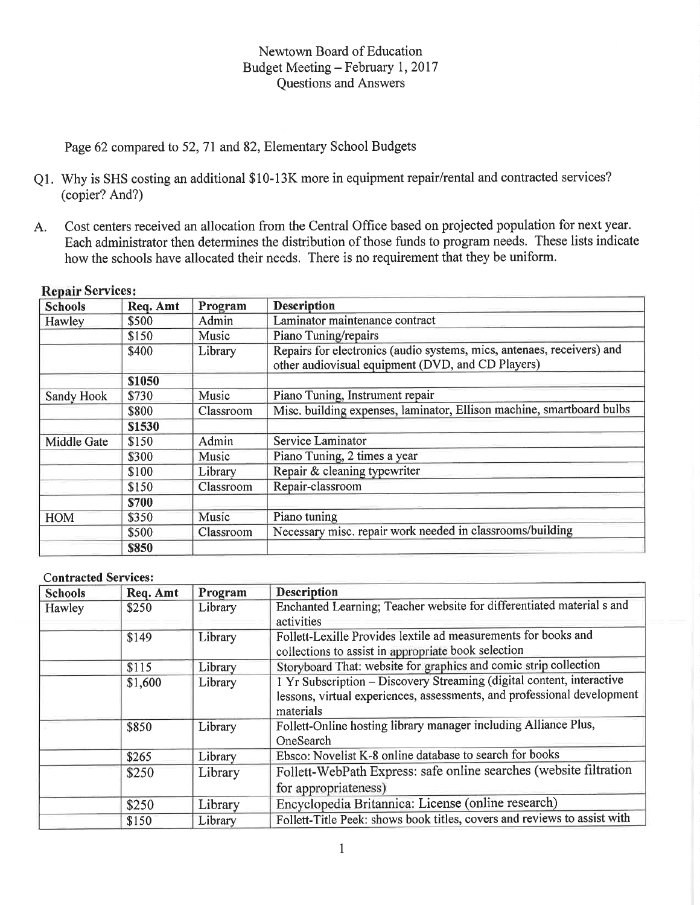## Newtown Board of Education Budget Meeting - February 1, 2017 **Questions and Answers**

Page 62 compared to 52, 71 and 82, Elementary School Budgets

- Q1. Why is SHS costing an additional \$10-13K more in equipment repair/rental and contracted services? (copier? And?)
- Cost centers received an allocation from the Central Office based on projected population for next year. A. Each administrator then determines the distribution of those funds to program needs. These lists indicate how the schools have allocated their needs. There is no requirement that they be uniform.

| <b>Schools</b> | Req. Amt | Program   | <b>Description</b>                                                                                                          |
|----------------|----------|-----------|-----------------------------------------------------------------------------------------------------------------------------|
| Hawley         | \$500    | Admin     | Laminator maintenance contract                                                                                              |
|                | \$150    | Music     | Piano Tuning/repairs                                                                                                        |
|                | \$400    | Library   | Repairs for electronics (audio systems, mics, antenaes, receivers) and<br>other audiovisual equipment (DVD, and CD Players) |
|                | \$1050   |           |                                                                                                                             |
| Sandy Hook     | \$730    | Music     | Piano Tuning, Instrument repair                                                                                             |
|                | \$800    | Classroom | Misc. building expenses, laminator, Ellison machine, smartboard bulbs                                                       |
|                | \$1530   |           |                                                                                                                             |
| Middle Gate    | \$150    | Admin     | Service Laminator                                                                                                           |
|                | \$300    | Music     | Piano Tuning, 2 times a year                                                                                                |
|                | \$100    | Library   | Repair & cleaning typewriter                                                                                                |
|                | \$150    | Classroom | Repair-classroom                                                                                                            |
|                | \$700    |           |                                                                                                                             |
| <b>HOM</b>     | \$350    | Music     | Piano tuning                                                                                                                |
|                | \$500    | Classroom | Necessary misc. repair work needed in classrooms/building                                                                   |
|                | \$850    |           |                                                                                                                             |

### **Repair Services:**

#### **Contracted Services:**

| <b>Schools</b> | Req. Amt | Program | <b>Description</b>                                                       |  |  |
|----------------|----------|---------|--------------------------------------------------------------------------|--|--|
| Hawley         | \$250    | Library | Enchanted Learning; Teacher website for differentiated material s and    |  |  |
|                |          |         | activities                                                               |  |  |
|                | \$149    | Library | Follett-Lexille Provides lextile ad measurements for books and           |  |  |
|                |          |         | collections to assist in appropriate book selection                      |  |  |
|                | \$115    | Library | Storyboard That: website for graphics and comic strip collection         |  |  |
|                | \$1,600  | Library | 1 Yr Subscription - Discovery Streaming (digital content, interactive    |  |  |
|                |          |         | lessons, virtual experiences, assessments, and professional development  |  |  |
|                |          |         | materials                                                                |  |  |
|                | \$850    | Library | Follett-Online hosting library manager including Alliance Plus,          |  |  |
|                |          |         | OneSearch                                                                |  |  |
|                | \$265    | Library | Ebsco: Novelist K-8 online database to search for books                  |  |  |
|                | \$250    | Library | Follett-WebPath Express: safe online searches (website filtration        |  |  |
|                |          |         | for appropriateness)                                                     |  |  |
|                | \$250    | Library | Encyclopedia Britannica: License (online research)                       |  |  |
|                | \$150    | Library | Follett-Title Peek: shows book titles, covers and reviews to assist with |  |  |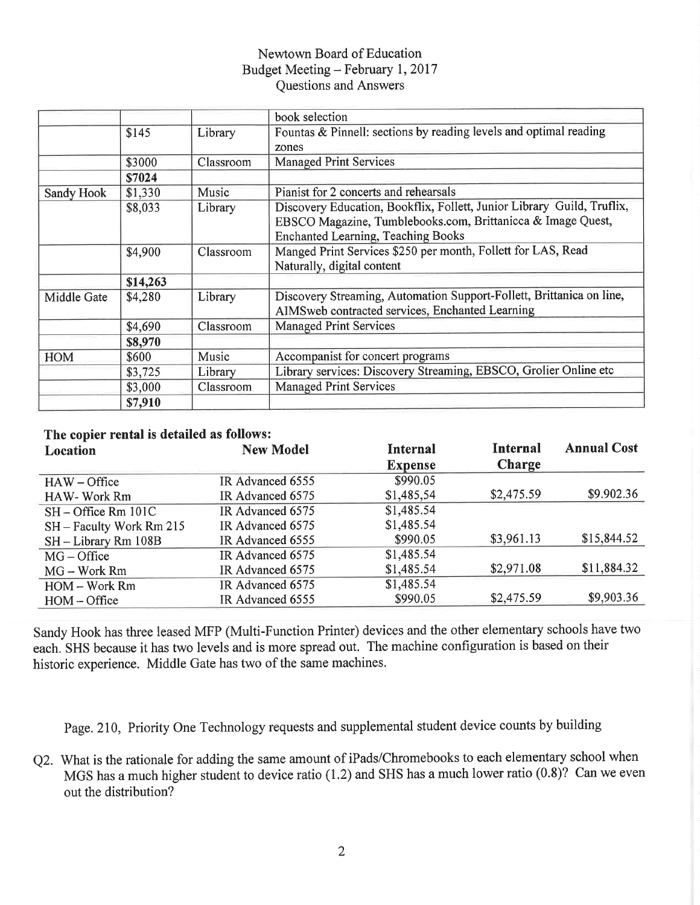## Newtown Board of Education Budget Meeting - February 1, 2017 Questions and Answers

|                   |                    |           | book selection                                                                                                                                                                     |
|-------------------|--------------------|-----------|------------------------------------------------------------------------------------------------------------------------------------------------------------------------------------|
|                   | \$145              | Library   | Fountas & Pinnell: sections by reading levels and optimal reading                                                                                                                  |
|                   |                    |           | zones                                                                                                                                                                              |
|                   | \$3000             | Classroom | <b>Managed Print Services</b>                                                                                                                                                      |
|                   | \$7024             |           |                                                                                                                                                                                    |
| <b>Sandy Hook</b> | \$1,330            | Music     | Pianist for 2 concerts and rehearsals                                                                                                                                              |
|                   | \$8,033            | Library   | Discovery Education, Bookflix, Follett, Junior Library Guild, Truflix,<br>EBSCO Magazine, Tumblebooks.com, Brittanicca & Image Quest,<br><b>Enchanted Learning, Teaching Books</b> |
|                   | \$4,900            | Classroom | Manged Print Services \$250 per month, Follett for LAS, Read<br>Naturally, digital content                                                                                         |
|                   | \$14,263           |           |                                                                                                                                                                                    |
| Middle Gate       | \$4,280<br>Library |           | Discovery Streaming, Automation Support-Follett, Brittanica on line,<br>AIMSweb contracted services, Enchanted Learning                                                            |
|                   | \$4,690            | Classroom | <b>Managed Print Services</b>                                                                                                                                                      |
|                   | \$8,970            |           |                                                                                                                                                                                    |
| <b>HOM</b>        | \$600              | Music     | Accompanist for concert programs                                                                                                                                                   |
|                   | \$3,725            | Library   | Library services: Discovery Streaming, EBSCO, Grolier Online etc                                                                                                                   |
|                   | \$3,000            | Classroom | <b>Managed Print Services</b>                                                                                                                                                      |
|                   | \$7,910            |           |                                                                                                                                                                                    |

# The copier rental is detailed as follows:

| Location                 | <b>New Model</b> | <b>Internal</b> | <b>Internal</b> | <b>Annual Cost</b> |
|--------------------------|------------------|-----------------|-----------------|--------------------|
|                          |                  | <b>Expense</b>  | <b>Charge</b>   |                    |
| $HAW - Office$           | IR Advanced 6555 | \$990.05        |                 |                    |
| HAW-Work Rm              | IR Advanced 6575 | \$1,485,54      | \$2,475.59      | \$9.902.36         |
| $SH - Office Rm 101C$    | IR Advanced 6575 | \$1,485.54      |                 |                    |
| SH - Faculty Work Rm 215 | IR Advanced 6575 | \$1,485.54      |                 |                    |
| SH - Library Rm 108B     | IR Advanced 6555 | \$990.05        | \$3,961.13      | \$15,844.52        |
| $MG - Office$            | IR Advanced 6575 | \$1,485.54      |                 |                    |
| $MG - Work Rm$           | IR Advanced 6575 | \$1,485.54      | \$2,971.08      | \$11,884.32        |
| HOM - Work Rm            | IR Advanced 6575 | \$1,485.54      |                 |                    |
| $HOM - Office$           | IR Advanced 6555 | \$990.05        | \$2,475.59      | \$9,903.36         |

Sandy Hook has three leased MFP (Multi-Function Printer) devices and the other elementary schools have two each. SHS because it has two levels and is more spread out. The machine configuration is based on their historic experience. Middle Gate has two of the same machines.

Page. 210, Priority One Technology requests and supplemental student device counts by building

Q2. What is the rationale for adding the same amount of iPads/Chromebooks to each elementary school when MGS has a much higher student to device ratio (1.2) and SHS has a much lower ratio (0.8)? Can we even out the distribution?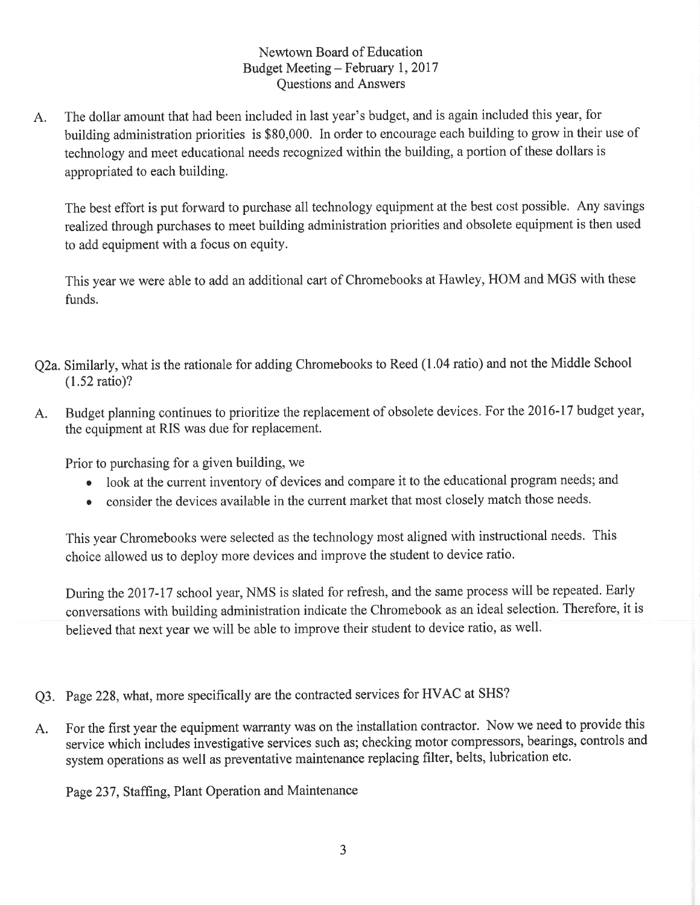## Newtown Board of Education Budget Meeting – February 1, 2017 **Ouestions and Answers**

The dollar amount that had been included in last year's budget, and is again included this year, for A. building administration priorities is \$80,000. In order to encourage each building to grow in their use of technology and meet educational needs recognized within the building, a portion of these dollars is appropriated to each building.

The best effort is put forward to purchase all technology equipment at the best cost possible. Any savings realized through purchases to meet building administration priorities and obsolete equipment is then used to add equipment with a focus on equity.

This year we were able to add an additional cart of Chromebooks at Hawley, HOM and MGS with these funds.

- Q2a. Similarly, what is the rationale for adding Chromebooks to Reed (1.04 ratio) and not the Middle School  $(1.52 \text{ ratio})$ ?
- Budget planning continues to prioritize the replacement of obsolete devices. For the 2016-17 budget year,  $A<sub>1</sub>$ the equipment at RIS was due for replacement.

Prior to purchasing for a given building, we

- look at the current inventory of devices and compare it to the educational program needs; and
- consider the devices available in the current market that most closely match those needs.

This year Chromebooks were selected as the technology most aligned with instructional needs. This choice allowed us to deploy more devices and improve the student to device ratio.

During the 2017-17 school year, NMS is slated for refresh, and the same process will be repeated. Early conversations with building administration indicate the Chromebook as an ideal selection. Therefore, it is believed that next year we will be able to improve their student to device ratio, as well.

- Q3. Page 228, what, more specifically are the contracted services for HVAC at SHS?
- For the first year the equipment warranty was on the installation contractor. Now we need to provide this A. service which includes investigative services such as; checking motor compressors, bearings, controls and system operations as well as preventative maintenance replacing filter, belts, lubrication etc.

Page 237, Staffing, Plant Operation and Maintenance